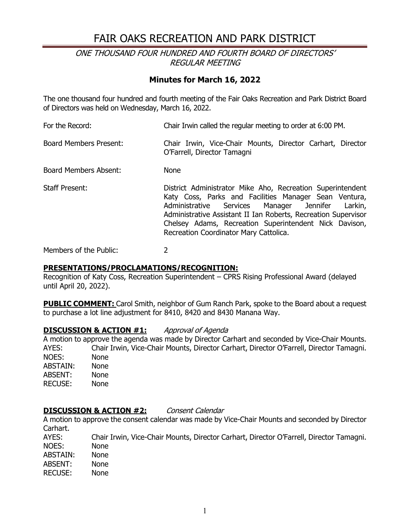# FAIR OAKS RECREATION AND PARK DISTRICT

### ONE THOUSAND FOUR HUNDRED AND FOURTH BOARD OF DIRECTORS' REGULAR MEETING

### **Minutes for March 16, 2022**

The one thousand four hundred and fourth meeting of the Fair Oaks Recreation and Park District Board of Directors was held on Wednesday, March 16, 2022.

For the Record: Chair Irwin called the regular meeting to order at 6:00 PM. Board Members Present: Chair Irwin, Vice-Chair Mounts, Director Carhart, Director O'Farrell, Director Tamagni Board Members Absent: None Staff Present: District Administrator Mike Aho, Recreation Superintendent Katy Coss, Parks and Facilities Manager Sean Ventura, Administrative Services Manager Jennifer Larkin, Administrative Assistant II Ian Roberts, Recreation Supervisor Chelsey Adams, Recreation Superintendent Nick Davison, Recreation Coordinator Mary Cattolica.

Members of the Public: 2

#### **PRESENTATIONS/PROCLAMATIONS/RECOGNITION:**

Recognition of Katy Coss, Recreation Superintendent – CPRS Rising Professional Award (delayed until April 20, 2022).

**PUBLIC COMMENT:** Carol Smith, neighbor of Gum Ranch Park, spoke to the Board about a request to purchase a lot line adjustment for 8410, 8420 and 8430 Manana Way.

### **DISCUSSION & ACTION #1:** Approval of Agenda

A motion to approve the agenda was made by Director Carhart and seconded by Vice-Chair Mounts. AYES: Chair Irwin, Vice-Chair Mounts, Director Carhart, Director O'Farrell, Director Tamagni. NOES: None<br>ABSTAIN: None ABSTAIN: ABSENT: None RECUSE: None

#### **DISCUSSION & ACTION #2:** Consent Calendar

A motion to approve the consent calendar was made by Vice-Chair Mounts and seconded by Director Carhart.

AYES: Chair Irwin, Vice-Chair Mounts, Director Carhart, Director O'Farrell, Director Tamagni. NOES: None<br>ABSTAIN: None ABSTAIN: ABSENT: None<br>RECUSE: None **RECUSE:**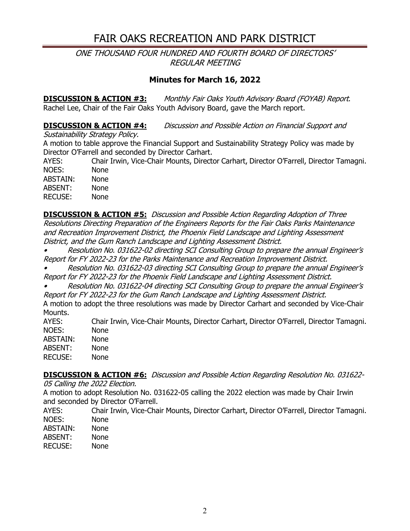# FAIR OAKS RECREATION AND PARK DISTRICT

ONE THOUSAND FOUR HUNDRED AND FOURTH BOARD OF DIRECTORS' REGULAR MEETING

## **Minutes for March 16, 2022**

**DISCUSSION & ACTION #3:** Monthly Fair Oaks Youth Advisory Board (FOYAB) Report. Rachel Lee, Chair of the Fair Oaks Youth Advisory Board, gave the March report.

### **DISCUSSION & ACTION #4:** Discussion and Possible Action on Financial Support and

Sustainability Strategy Policy.

A motion to table approve the Financial Support and Sustainability Strategy Policy was made by Director O'Farrell and seconded by Director Carhart.

AYES: Chair Irwin, Vice-Chair Mounts, Director Carhart, Director O'Farrell, Director Tamagni. NOES: None ABSTAIN: None ABSENT: None

RECUSE: None

**DISCUSSION & ACTION #5:** Discussion and Possible Action Regarding Adoption of Three Resolutions Directing Preparation of the Engineers Reports for the Fair Oaks Parks Maintenance and Recreation Improvement District, the Phoenix Field Landscape and Lighting Assessment District, and the Gum Ranch Landscape and Lighting Assessment District.

• Resolution No. 031622-02 directing SCI Consulting Group to prepare the annual Engineer's Report for FY 2022-23 for the Parks Maintenance and Recreation Improvement District.

• Resolution No. 031622-03 directing SCI Consulting Group to prepare the annual Engineer's Report for FY 2022-23 for the Phoenix Field Landscape and Lighting Assessment District.

• Resolution No. 031622-04 directing SCI Consulting Group to prepare the annual Engineer's Report for FY 2022-23 for the Gum Ranch Landscape and Lighting Assessment District.

A motion to adopt the three resolutions was made by Director Carhart and seconded by Vice-Chair Mounts.<br>AYES:

Chair Irwin, Vice-Chair Mounts, Director Carhart, Director O'Farrell, Director Tamagni. NOES: None<br>ABSTAIN: None ABSTAIN: ABSENT: None RECUSE: None

**DISCUSSION & ACTION #6:** Discussion and Possible Action Regarding Resolution No. 031622- 05 Calling the 2022 Election.

A motion to adopt Resolution No. 031622-05 calling the 2022 election was made by Chair Irwin and seconded by Director O'Farrell.

AYES: Chair Irwin, Vice-Chair Mounts, Director Carhart, Director O'Farrell, Director Tamagni. NOES: None

- ABSTAIN: None
- ABSENT: None
- RECUSE: None